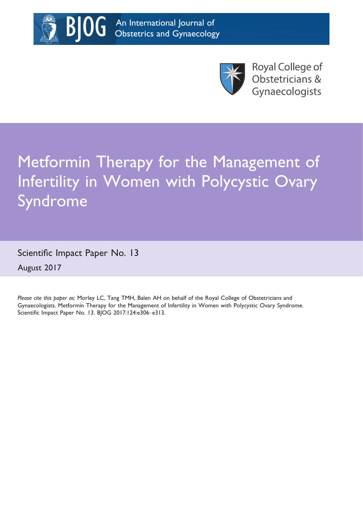

**Royal College of** Obstetricians & Gynaecologists

# Metformin Therapy for the Management of Infertility in Women with Polycystic Ovary Syndrome

Scientific Impact Paper No. 13 August 2017

BГ

Please cite this paper as: Morley LC, Tang TMH, Balen AH on behalf of the Royal College of Obstetricians and Gynaecologists. Metformin Therapy for the Management of Infertility in Women with Polycystic Ovary Syndrome. Scientific Impact Paper No. 13. BJOG 201[7;124:e306](info:doi/10.1111/1471-0528.14764)–e313.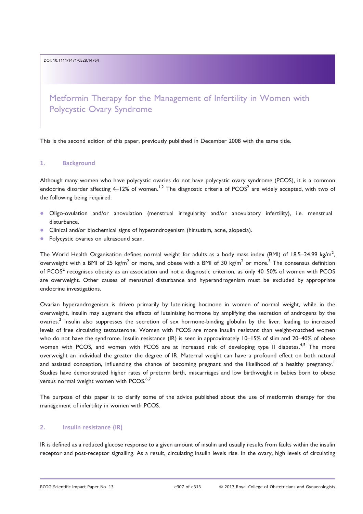DOI: 10.1111/1471-0528.14764

Metformin Therapy for the Management of Infertility in Women with Polycystic Ovary Syndrome

This is the second edition of this paper, previously published in December 2008 with the same title.

#### 1. Background

Although many women who have polycystic ovaries do not have polycystic ovary syndrome (PCOS), it is a common endocrine disorder affecting  $4-12\%$  of women.<sup>1,2</sup> The diagnostic criteria of PCOS<sup>2</sup> are widely accepted, with two of the following being required:

- Oligo-ovulation and/or anovulation (menstrual irregularity and/or anovulatory infertility), i.e. menstrual disturbance.
- Clinical and/or biochemical signs of hyperandrogenism (hirsutism, acne, alopecia).
- Polycystic ovaries on ultrasound scan.

The World Health Organisation defines normal weight for adults as a body mass index (BMI) of 18.5–24.99 kg/m<sup>2</sup>, overweight with a BMI of 25 kg/m<sup>2</sup> or more, and obese with a BMI of 30 kg/m<sup>2</sup> or more.<sup>3</sup> The consensus definition of PCOS<sup>2</sup> recognises obesity as an association and not a diagnostic criterion, as only 40–50% of women with PCOS are overweight. Other causes of menstrual disturbance and hyperandrogenism must be excluded by appropriate endocrine investigations.

Ovarian hyperandrogenism is driven primarily by luteinising hormone in women of normal weight, while in the overweight, insulin may augment the effects of luteinising hormone by amplifying the secretion of androgens by the ovaries.<sup>2</sup> Insulin also suppresses the secretion of sex hormone-binding globulin by the liver, leading to increased levels of free circulating testosterone. Women with PCOS are more insulin resistant than weight-matched women who do not have the syndrome. Insulin resistance (IR) is seen in approximately 10-15% of slim and 20-40% of obese women with PCOS, and women with PCOS are at increased risk of developing type II diabetes.<sup>4,5</sup> The more overweight an individual the greater the degree of IR. Maternal weight can have a profound effect on both natural and assisted conception, influencing the chance of becoming pregnant and the likelihood of a healthy pregnancy.<sup>1</sup> Studies have demonstrated higher rates of preterm birth, miscarriages and low birthweight in babies born to obese versus normal weight women with PCOS.<sup>6,7</sup>

The purpose of this paper is to clarify some of the advice published about the use of metformin therapy for the management of infertility in women with PCOS.

### 2. Insulin resistance (IR)

IR is defined as a reduced glucose response to a given amount of insulin and usually results from faults within the insulin receptor and post-receptor signalling. As a result, circulating insulin levels rise. In the ovary, high levels of circulating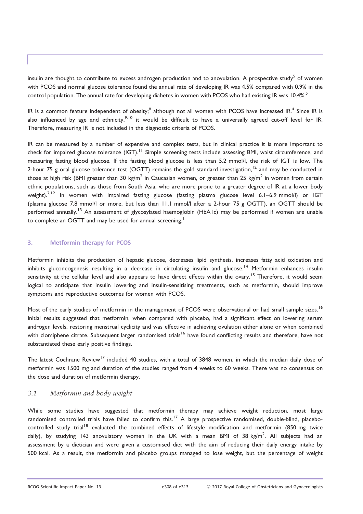insulin are thought to contribute to excess androgen production and to anovulation. A prospective study<sup>5</sup> of women with PCOS and normal glucose tolerance found the annual rate of developing IR was 4.5% compared with 0.9% in the control population. The annual rate for developing diabetes in women with PCOS who had existing IR was 10.4%.<sup>5</sup>

IR is a common feature independent of obesity;<sup>8</sup> although not all women with PCOS have increased IR.<sup>4</sup> Since IR is also influenced by age and ethnicity,<sup>9,10</sup> it would be difficult to have a universally agreed cut-off level for IR. Therefore, measuring IR is not included in the diagnostic criteria of PCOS.

IR can be measured by a number of expensive and complex tests, but in clinical practice it is more important to check for impaired glucose tolerance (IGT).<sup>11</sup> Simple screening tests include assessing BMI, waist circumference, and measuring fasting blood glucose. If the fasting blood glucose is less than 5.2 mmol/l, the risk of IGT is low. The 2-hour 75 g oral glucose tolerance test (OGTT) remains the gold standard investigation,  $12$  and may be conducted in those at high risk (BMI greater than 30 kg/m<sup>2</sup> in Caucasian women, or greater than 25 kg/m<sup>2</sup> in women from certain ethnic populations, such as those from South Asia, who are more prone to a greater degree of IR at a lower body weight).<sup>2,12</sup> In women with impaired fasting glucose (fasting plasma glucose level 6.1–6.9 mmol/l) or IGT (plasma glucose 7.8 mmol/l or more, but less than 11.1 mmol/l after a 2-hour 75 g OGTT), an OGTT should be performed annually.<sup>13</sup> An assessment of glycosylated haemoglobin (HbA1c) may be performed if women are unable to complete an OGTT and may be used for annual screening.<sup>1</sup>

#### 3. Metformin therapy for PCOS

Metformin inhibits the production of hepatic glucose, decreases lipid synthesis, increases fatty acid oxidation and inhibits gluconeogenesis resulting in a decrease in circulating insulin and glucose.<sup>14</sup> Metformin enhances insulin sensitivity at the cellular level and also appears to have direct effects within the ovary.<sup>15</sup> Therefore, it would seem logical to anticipate that insulin lowering and insulin-sensitising treatments, such as metformin, should improve symptoms and reproductive outcomes for women with PCOS.

Most of the early studies of metformin in the management of PCOS were observational or had small sample sizes.<sup>16</sup> Initial results suggested that metformin, when compared with placebo, had a significant effect on lowering serum androgen levels, restoring menstrual cyclicity and was effective in achieving ovulation either alone or when combined with clomiphene citrate. Subsequent larger randomised trials<sup>16</sup> have found conflicting results and therefore, have not substantiated these early positive findings.

The latest Cochrane Review<sup>17</sup> included 40 studies, with a total of 3848 women, in which the median daily dose of metformin was 1500 mg and duration of the studies ranged from 4 weeks to 60 weeks. There was no consensus on the dose and duration of metformin therapy.

## 3.1 Metformin and body weight

While some studies have suggested that metformin therapy may achieve weight reduction, most large randomised controlled trials have failed to confirm this.<sup>17</sup> A large prospective randomised, double-blind, placebocontrolled study trial<sup>18</sup> evaluated the combined effects of lifestyle modification and metformin (850 mg twice daily), by studying 143 anovulatory women in the UK with a mean BMI of 38 kg/m<sup>2</sup>. All subjects had an assessment by a dietician and were given a customised diet with the aim of reducing their daily energy intake by 500 kcal. As a result, the metformin and placebo groups managed to lose weight, but the percentage of weight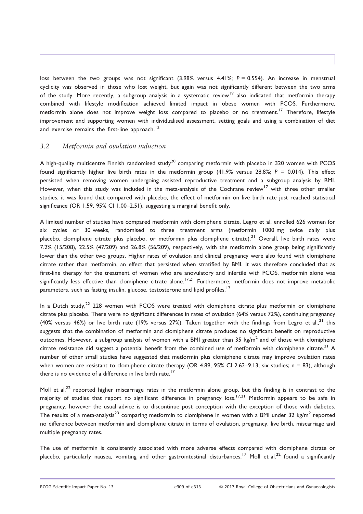loss between the two groups was not significant (3.98% versus 4.41%;  $P = 0.554$ ). An increase in menstrual cyclicity was observed in those who lost weight, but again was not significantly different between the two arms of the study. More recently, a subgroup analysis in a systematic review<sup>19</sup> also indicated that metformin therapy combined with lifestyle modification achieved limited impact in obese women with PCOS. Furthermore, metformin alone does not improve weight loss compared to placebo or no treatment.<sup>17</sup> Therefore, lifestyle improvement and supporting women with individualised assessment, setting goals and using a combination of diet and exercise remains the first-line approach.<sup>12</sup>

## 3.2 Metformin and ovulation induction

A high-quality multicentre Finnish randomised study<sup>20</sup> comparing metformin with placebo in 320 women with PCOS found significantly higher live birth rates in the metformin group (41.9% versus 28.8%; P = 0.014). This effect persisted when removing women undergoing assisted reproductive treatment and a subgroup analysis by BMI. However, when this study was included in the meta-analysis of the Cochrane review<sup>17</sup> with three other smaller studies, it was found that compared with placebo, the effect of metformin on live birth rate just reached statistical significance (OR 1.59, 95% CI 1.00–2.51), suggesting a marginal benefit only.

A limited number of studies have compared metformin with clomiphene citrate. Legro et al. enrolled 626 women for six cycles or 30 weeks, randomised to three treatment arms (metformin 1000 mg twice daily plus placebo, clomiphene citrate plus placebo, or metformin plus clomiphene citrate).<sup>21</sup> Overall, live birth rates were 7.2% (15/208), 22.5% (47/209) and 26.8% (56/209), respectively, with the metformin alone group being significantly lower than the other two groups. Higher rates of ovulation and clinical pregnancy were also found with clomiphene citrate rather than metformin, an effect that persisted when stratified by BMI. It was therefore concluded that as first-line therapy for the treatment of women who are anovulatory and infertile with PCOS, metformin alone was significantly less effective than clomiphene citrate alone.<sup>17,21</sup> Furthermore, metformin does not improve metabolic parameters, such as fasting insulin, glucose, testosterone and lipid profiles.<sup>17</sup>

In a Dutch study,<sup>22</sup> 228 women with PCOS were treated with clomiphene citrate plus metformin or clomiphene citrate plus placebo. There were no significant differences in rates of ovulation (64% versus 72%), continuing pregnancy (40% versus 46%) or live birth rate (19% versus 27%). Taken together with the findings from Legro et al.,<sup>21</sup> this suggests that the combination of metformin and clomiphene citrate produces no significant benefit on reproductive outcomes. However, a subgroup analysis of women with a BMI greater than 35 kg/m<sup>2</sup> and of those with clomiphene citrate resistance did suggest a potential benefit from the combined use of metformin with clomiphene citrate.<sup>21</sup> A number of other small studies have suggested that metformin plus clomiphene citrate may improve ovulation rates when women are resistant to clomiphene citrate therapy (OR 4.89, 95% CI 2.62-9.13; six studies;  $n = 83$ ), although there is no evidence of a difference in live birth rate.<sup>17</sup>

Moll et al.<sup>22</sup> reported higher miscarriage rates in the metformin alone group, but this finding is in contrast to the majority of studies that report no significant difference in pregnancy loss.<sup>17,21</sup> Metformin appears to be safe in pregnancy, however the usual advice is to discontinue post conception with the exception of those with diabetes. The results of a meta-analysis<sup>23</sup> comparing metformin to clomiphene in women with a BMI under 32 kg/m<sup>2</sup> reported no difference between metformin and clomiphene citrate in terms of ovulation, pregnancy, live birth, miscarriage and multiple pregnancy rates.

The use of metformin is consistently associated with more adverse effects compared with clomiphene citrate or placebo, particularly nausea, vomiting and other gastrointestinal disturbances.<sup>17</sup> Moll et al.<sup>22</sup> found a significantly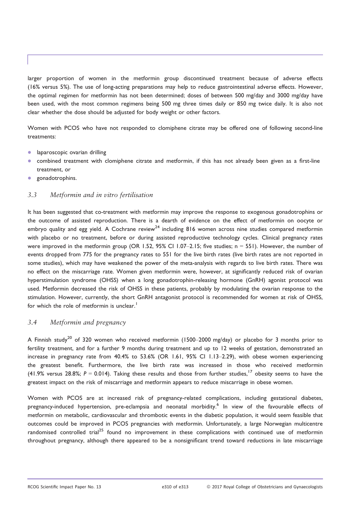larger proportion of women in the metformin group discontinued treatment because of adverse effects (16% versus 5%). The use of long-acting preparations may help to reduce gastrointestinal adverse effects. However, the optimal regimen for metformin has not been determined; doses of between 500 mg/day and 3000 mg/day have been used, with the most common regimens being 500 mg three times daily or 850 mg twice daily. It is also not clear whether the dose should be adjusted for body weight or other factors.

Women with PCOS who have not responded to clomiphene citrate may be offered one of following second-line treatments:

- laparoscopic ovarian drilling
- combined treatment with clomiphene citrate and metformin, if this has not already been given as a first-line treatment, or
- gonadotrophins.

## 3.3 Metformin and in vitro fertilisation

It has been suggested that co-treatment with metformin may improve the response to exogenous gonadotrophins or the outcome of assisted reproduction. There is a dearth of evidence on the effect of metformin on oocyte or embryo quality and egg yield. A Cochrane review<sup>24</sup> including 816 women across nine studies compared metformin with placebo or no treatment, before or during assisted reproductive technology cycles. Clinical pregnancy rates were improved in the metformin group (OR 1.52, 95% CI 1.07–2.15; five studies; n = 551). However, the number of events dropped from 775 for the pregnancy rates to 551 for the live birth rates (live birth rates are not reported in some studies), which may have weakened the power of the meta-analysis with regards to live birth rates. There was no effect on the miscarriage rate. Women given metformin were, however, at significantly reduced risk of ovarian hyperstimulation syndrome (OHSS) when a long gonadotrophin-releasing hormone (GnRH) agonist protocol was used. Metformin decreased the risk of OHSS in these patients, probably by modulating the ovarian response to the stimulation. However, currently, the short GnRH antagonist protocol is recommended for women at risk of OHSS, for which the role of metformin is unclear.<sup>1</sup>

## 3.4 Metformin and pregnancy

A Finnish study<sup>20</sup> of 320 women who received metformin (1500–2000 mg/day) or placebo for 3 months prior to fertility treatment, and for a further 9 months during treatment and up to 12 weeks of gestation, demonstrated an increase in pregnancy rate from 40.4% to 53.6% (OR 1.61, 95% CI 1.13–2.29), with obese women experiencing the greatest benefit. Furthermore, the live birth rate was increased in those who received metformin (41.9% versus 28.8%;  $P = 0.014$ ). Taking these results and those from further studies, <sup>17</sup> obesity seems to have the greatest impact on the risk of miscarriage and metformin appears to reduce miscarriage in obese women.

Women with PCOS are at increased risk of pregnancy-related complications, including gestational diabetes, pregnancy-induced hypertension, pre-eclampsia and neonatal morbidity.<sup>6</sup> In view of the favourable effects of metformin on metabolic, cardiovascular and thrombotic events in the diabetic population, it would seem feasible that outcomes could be improved in PCOS pregnancies with metformin. Unfortunately, a large Norwegian multicentre randomised controlled trial<sup>25</sup> found no improvement in these complications with continued use of metformin throughout pregnancy, although there appeared to be a nonsignificant trend toward reductions in late miscarriage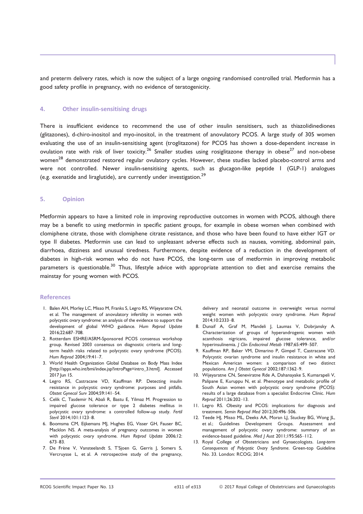and preterm delivery rates, which is now the subject of a large ongoing randomised controlled trial. Metformin has a good safety profile in pregnancy, with no evidence of teratogenicity.

#### 4. Other insulin-sensitising drugs

There is insufficient evidence to recommend the use of other insulin sensitisers, such as thiazolidinediones (glitazones), d-chiro-inositol and myo-inositol, in the treatment of anovulatory PCOS. A large study of 305 women evaluating the use of an insulin-sensitising agent (troglitazone) for PCOS has shown a dose-dependent increase in ovulation rate with risk of liver toxicity.<sup>26</sup> Smaller studies using rosiglitazone therapy in obese<sup>27</sup> and non-obese women<sup>28</sup> demonstrated restored regular ovulatory cycles. However, these studies lacked placebo-control arms and were not controlled. Newer insulin-sensitising agents, such as glucagon-like peptide 1 (GLP-1) analogues (e.g. exenatide and liraglutide), are currently under investigation.<sup>29</sup>

#### 5. Opinion

Metformin appears to have a limited role in improving reproductive outcomes in women with PCOS, although there may be a benefit to using metformin in specific patient groups, for example in obese women when combined with clomiphene citrate, those with clomiphene citrate resistance, and those who have been found to have either IGT or type II diabetes. Metformin use can lead to unpleasant adverse effects such as nausea, vomiting, abdominal pain, diarrhoea, dizziness and unusual tiredness. Furthermore, despite evidence of a reduction in the development of diabetes in high-risk women who do not have PCOS, the long-term use of metformin in improving metabolic parameters is questionable.<sup>30</sup> Thus, lifestyle advice with appropriate attention to diet and exercise remains the mainstay for young women with PCOS.

#### References

- 1. Balen AH, Morley LC, Misso M, Franks S, Legro RS, Wijeyaratne CN, et al. The management of anovulatory infertility in women with polycystic ovary syndrome: an analysis of the evidence to support the development of global WHO guidance. Hum Reprod Update 2016;22:687–708.
- 2. Rotterdam ESHRE/ASRM-Sponsored PCOS consensus workshop group. Revised 2003 consensus on diagnostic criteria and longterm health risks related to polycystic ovary syndrome (PCOS). Hum Reprod 2004;19:41–7.
- 3. World Health Organization Global Database on Body Mass Index [\[http://apps.who.int/bmi/index.jsp?introPage=intro\\_3.html](http://apps.who.int/bmi/index.jsp?introPage=intro_3.html)]. Accessed 2017 Iun 15.
- 4. Legro RS, Castracane VD, Kauffman RP. Detecting insulin resistance in polycystic ovary syndrome: purposes and pitfalls. Obstet Gynecol Surv 2004;59:141–54.
- 5. Celik C, Tasdemir N, Abali R, Bastu E, Yilmaz M. Progression to impaired glucose tolerance or type 2 diabetes mellitus in polycystic ovary syndrome: a controlled follow-up study. Fertil Steril 2014;101:1123–8.
- 6. Boomsma CM, Eijkemans MJ, Hughes EG, Visser GH, Fauser BC, Macklon NS. A meta-analysis of pregnancy outcomes in women with polycystic ovary syndrome. Hum Reprod Update 2006;12: 673–83.
- 7. De Frène V, Vansteelandt S, T'Sjoen G, Gerris J, Somers S, Vercruysse L, et al. A retrospective study of the pregnancy,

delivery and neonatal outcome in overweight versus normal weight women with polycystic ovary syndrome. Hum Reprod 2014;10:2333–8.

- 8. Dunaif A, Graf M, Mandeli J, Laumas V, Dobrjansky A. Characterization of groups of hyperandrogenic women with acanthosis nigricans, impaired glucose tolerance, and/or hyperinsulinemia. J Clin Endocrinol Metab 1987;65:499–507.
- 9. Kauffman RP, Baker VM, Dimarino P, Gimpel T, Castracane VD. Polycystic ovarian syndrome and insulin resistance in white and Mexican American women: a comparison of two distinct populations. Am J Obstet Gynecol 2002;187:1362–9.
- 10. Wijeyaratne CN, Seneviratne Rde A, Dahanayake S, Kumarapeli V, Palipane E, Kuruppu N, et al. Phenotype and metabolic profile of South Asian women with polycystic ovary syndrome (PCOS): results of a large database from a specialist Endocrine Clinic. Hum Reprod 2011;26:202–13.
- 11. Legro RS. Obesity and PCOS: implications for diagnosis and treatment. Semin Reprod Med 2012;30:496–506.
- 12. Teede HJ, Misso ML, Deeks AA, Moran LJ, Stuckey BG, Wong JL, et al.; Guidelines Development Groups. Assessment and management of polycystic ovary syndrome: summary of an evidence-based guideline. Med J Aust 2011;195:S65–112.
- 13. Royal College of Obstetricians and Gynaecologists. Long-term Consequences of Polycystic Ovary Syndrome. Green-top Guideline No. 33. London: RCOG; 2014.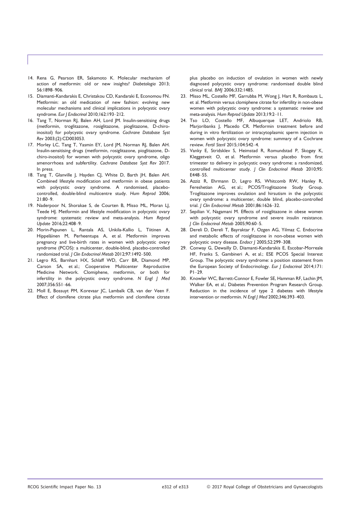- 14. Rena G, Pearson ER, Sakamoto K. Molecular mechanism of action of metformin: old or new insights? Diabetologia 2013; 56:1898–906.
- 15. Diamanti-Kandarakis E, Christakou CD, Kandaraki E, Economou FN. Metformin: an old medication of new fashion: evolving new molecular mechanisms and clinical implications in polycystic ovary syndrome. Eur J Endocrinol 2010;162:193–212.
- 16. Tang T, Norman RJ, Balen AH, Lord JM. Insulin-sensitising drugs (metformin, troglitazone, rosiglitazone, pioglitazone, D-chiroinositol) for polycystic ovary syndrome. Cochrane Database Syst Rev 2003;(2):CD003053.
- 17. Morley LC, Tang T, Yasmin EY, Lord JM, Norman RJ, Balen AH. Insulin-sensitising drugs (metformin, rosiglitazone, pioglitazone, Dchiro-inositol) for women with polycystic ovary syndrome, oligo amenorrhoea and subfertility. Cochrane Database Syst Rev 2017. In press.
- 18. Tang T, Glanville J, Hayden CJ, White D, Barth JH, Balen AH. Combined lifestyle modification and metformin in obese patients with polycystic ovary syndrome. A randomised, placebocontrolled, double-blind multicentre study. Hum Reprod 2006; 21:80–9.
- 19. Naderpoor N, Shorakae S, de Courten B, Misso ML, Moran LJ, Teede HJ. Metformin and lifestyle modification in polycystic ovary syndrome: systematic review and meta-analysis. Hum Reprod Update 2016;22:408–9.
- 20. Morin-Papunen L, Rantala AS, Unkila-Kallio L, Tiitinen A, Hippeläinen M, Perheentupa A, et al. Metformin improves pregnancy and live-birth rates in women with polycystic ovary syndrome (PCOS): a multicenter, double-blind, placebo-controlled randomized trial. J Clin Endocrinol Metab 2012;97:1492–500.
- 21. Legro RS, Barnhart HX, Schlaff WD, Carr BR, Diamond MP, Carson SA, et al.; Cooperative Multicenter Reproductive Medicine Network. Clomiphene, metformin, or both for infertility in the polycystic ovary syndrome. N Engl J Med 2007;356:551–66.
- 22. Moll E, Bossuyt PM, Korevaar JC, Lambalk CB, van der Veen F. Effect of clomifene citrate plus metformin and clomifene citrate

plus placebo on induction of ovulation in women with newly diagnosed polycystic ovary syndrome: randomised double blind clinical trial. BMJ 2006;332:1485.

- 23. Misso ML, Costello MF, Garrubba M, Wong J, Hart R, Rombauts L, et al. Metformin versus clomiphene citrate for infertility in non-obese women with polycystic ovary syndrome: a systematic review and meta-analysis. Hum Reprod Update 2013;19:2–11.
- 24. Tso LO, Costello MF, Albuquerque LET, Andriolo RB, Marjoribanks J, Macedo CR. Metformin treatment before and during in vitro fertilization or intracytoplasmic sperm injection in women with polycystic ovary syndrome: summary of a Cochrane review. Fertil Steril 2015;104:542–4.
- 25. Vanky E, Stridsklev S, Heimstad R, Romundstad P, Skogøy K, Kleggetveit O, et al. Metformin versus placebo from first trimester to delivery in polycystic ovary syndrome: a randomized, controlled multicenter study. J Clin Endocrinol Metab 2010;95: E448–55.
- 26. Azziz R, Ehrmann D, Legro RS, Whitcomb RW, Hanley R, Fereshetian AG, et al.; PCOS/Troglitazone Study Group. Troglitazone improves ovulation and hirsutism in the polycystic ovary syndrome: a multicenter, double blind, placebo-controlled trial. J Clin Endocrinol Metab 2001;86:1626–32.
- 27. Sepilian V, Nagamani M. Effects of rosiglitazone in obese women with polycystic ovary syndrome and severe insulin resistance. J Clin Endocrinol Metab 2005;90:60–5.
- 28. Dereli D, Dereli T, Bayraktar F, Ozgen AG, Yilmaz C. Endocrine and metabolic effects of rosiglitazone in non-obese women with polycystic ovary disease. Endocr J 2005;52:299–308.
- 29. Conway G, Dewailly D, Diamanti-Kandarakis E, Escobar-Morreale HF, Franks S, Gambineri A, et al.; ESE PCOS Special Interest Group. The polycystic ovary syndrome: a position statement from the European Society of Endocrinology. Eur J Endocrinol 2014;171:  $PI-29$
- 30. Knowler WC, Barrett-Connor E, Fowler SE, Hamman RF, Lachin JM, Walker EA, et al.; Diabetes Prevention Program Research Group. Reduction in the incidence of type 2 diabetes with lifestyle intervention or metformin. N Engl J Med 2002;346:393–403.